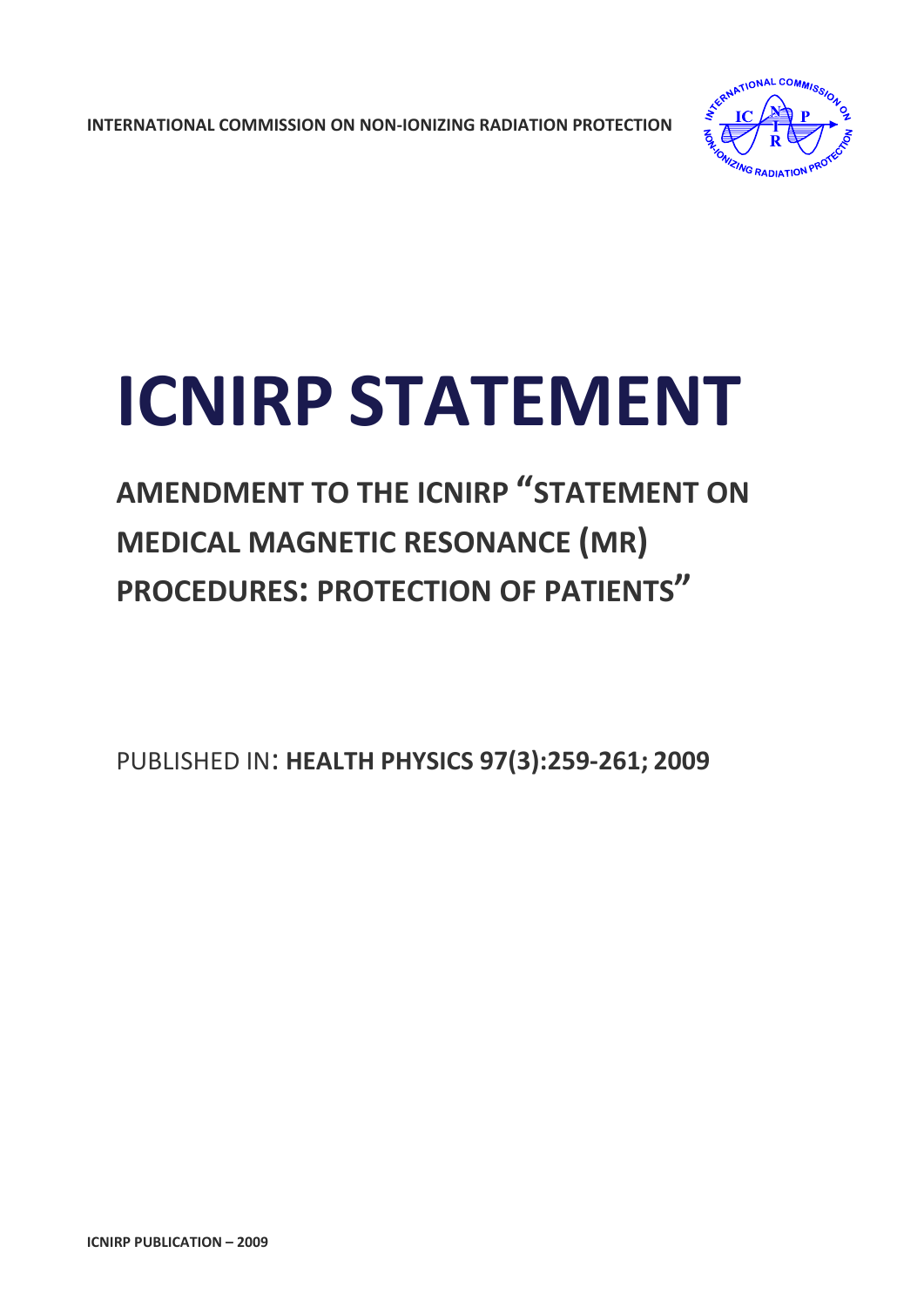**INTERNATIONAL COMMISSION ON NON‐IONIZING RADIATION PROTECTION** 



# **ICNIRP STATEMENT**

## **AMENDMENT TO THE ICNIRP "STATEMENT ON MEDICAL MAGNETIC RESONANCE (MR) PROCEDURES: PROTECTION OF PATIENTS"**

PUBLISHED IN: **HEALTH PHYSICS 97(3):259‐261; 2009**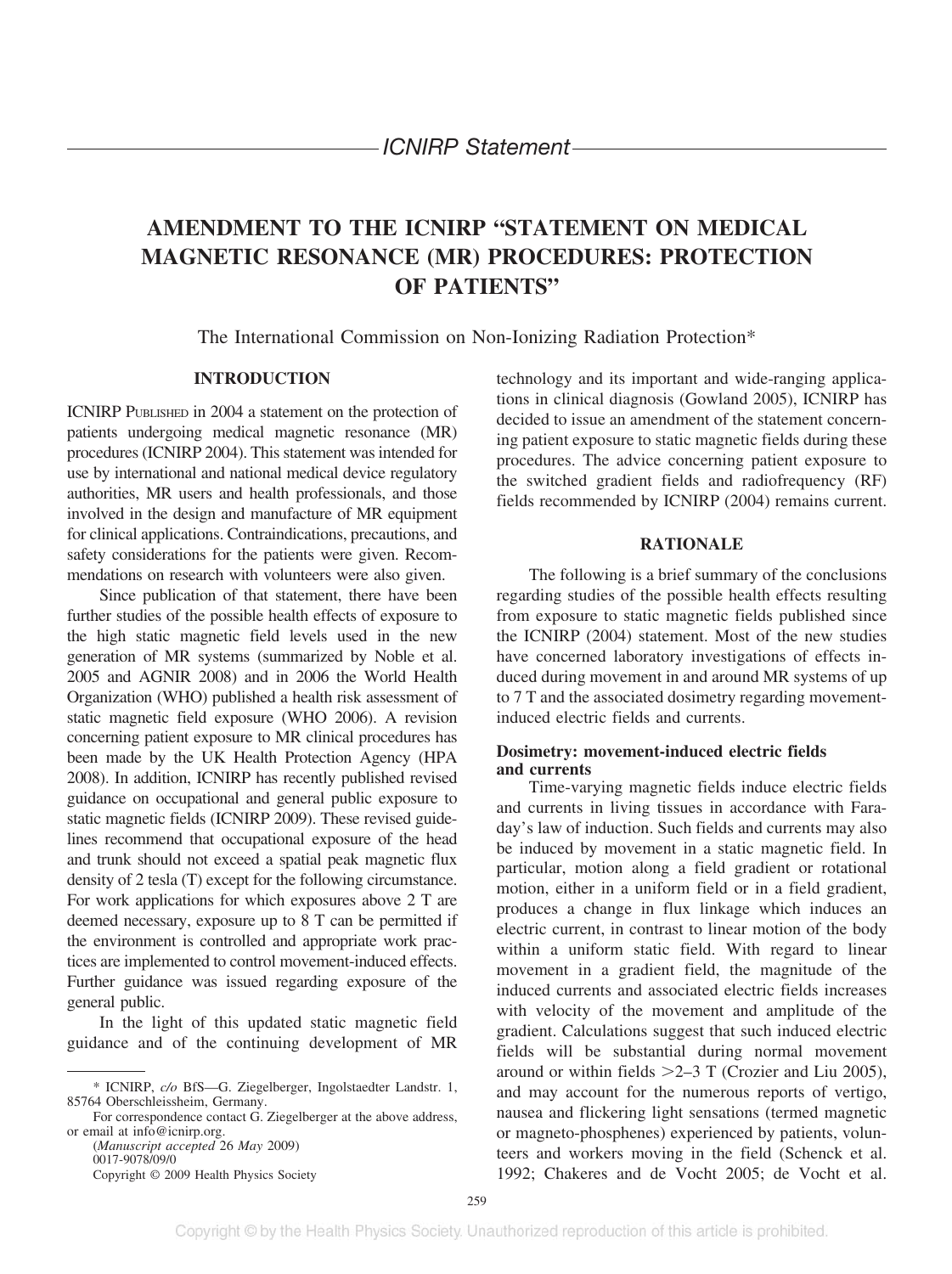### **AMENDMENT TO THE ICNIRP "STATEMENT ON MEDICAL MAGNETIC RESONANCE (MR) PROCEDURES: PROTECTION OF PATIENTS"**

The International Commission on Non-Ionizing Radiation Protection\*

#### **INTRODUCTION**

ICNIRP PUBLISHED in 2004 a statement on the protection of patients undergoing medical magnetic resonance (MR) procedures (ICNIRP 2004). This statement was intended for use by international and national medical device regulatory authorities, MR users and health professionals, and those involved in the design and manufacture of MR equipment for clinical applications. Contraindications, precautions, and safety considerations for the patients were given. Recommendations on research with volunteers were also given.

Since publication of that statement, there have been further studies of the possible health effects of exposure to the high static magnetic field levels used in the new generation of MR systems (summarized by Noble et al. 2005 and AGNIR 2008) and in 2006 the World Health Organization (WHO) published a health risk assessment of static magnetic field exposure (WHO 2006). A revision concerning patient exposure to MR clinical procedures has been made by the UK Health Protection Agency (HPA 2008). In addition, ICNIRP has recently published revised guidance on occupational and general public exposure to static magnetic fields (ICNIRP 2009). These revised guidelines recommend that occupational exposure of the head and trunk should not exceed a spatial peak magnetic flux density of 2 tesla (T) except for the following circumstance. For work applications for which exposures above 2 T are deemed necessary, exposure up to 8 T can be permitted if the environment is controlled and appropriate work practices are implemented to control movement-induced effects. Further guidance was issued regarding exposure of the general public.

In the light of this updated static magnetic field guidance and of the continuing development of MR

For correspondence contact G. Ziegelberger at the above address, or email at info@icnirp.org. (*Manuscript accepted* 26 *May* 2009)

0017-9078/09/0 Copyright © 2009 Health Physics Society technology and its important and wide-ranging applications in clinical diagnosis (Gowland 2005), ICNIRP has decided to issue an amendment of the statement concerning patient exposure to static magnetic fields during these procedures. The advice concerning patient exposure to the switched gradient fields and radiofrequency (RF) fields recommended by ICNIRP (2004) remains current.

#### **RATIONALE**

The following is a brief summary of the conclusions regarding studies of the possible health effects resulting from exposure to static magnetic fields published since the ICNIRP (2004) statement. Most of the new studies have concerned laboratory investigations of effects induced during movement in and around MR systems of up to 7 T and the associated dosimetry regarding movementinduced electric fields and currents.

#### **Dosimetry: movement-induced electric fields and currents**

Time-varying magnetic fields induce electric fields and currents in living tissues in accordance with Faraday's law of induction. Such fields and currents may also be induced by movement in a static magnetic field. In particular, motion along a field gradient or rotational motion, either in a uniform field or in a field gradient, produces a change in flux linkage which induces an electric current, in contrast to linear motion of the body within a uniform static field. With regard to linear movement in a gradient field, the magnitude of the induced currents and associated electric fields increases with velocity of the movement and amplitude of the gradient. Calculations suggest that such induced electric fields will be substantial during normal movement around or within fields  $>2-3$  T (Crozier and Liu 2005), and may account for the numerous reports of vertigo, nausea and flickering light sensations (termed magnetic or magneto-phosphenes) experienced by patients, volunteers and workers moving in the field (Schenck et al. 1992; Chakeres and de Vocht 2005; de Vocht et al.

<sup>\*</sup> ICNIRP, *c/o* BfS—G. Ziegelberger, Ingolstaedter Landstr. 1, 85764 Oberschleissheim, Germany.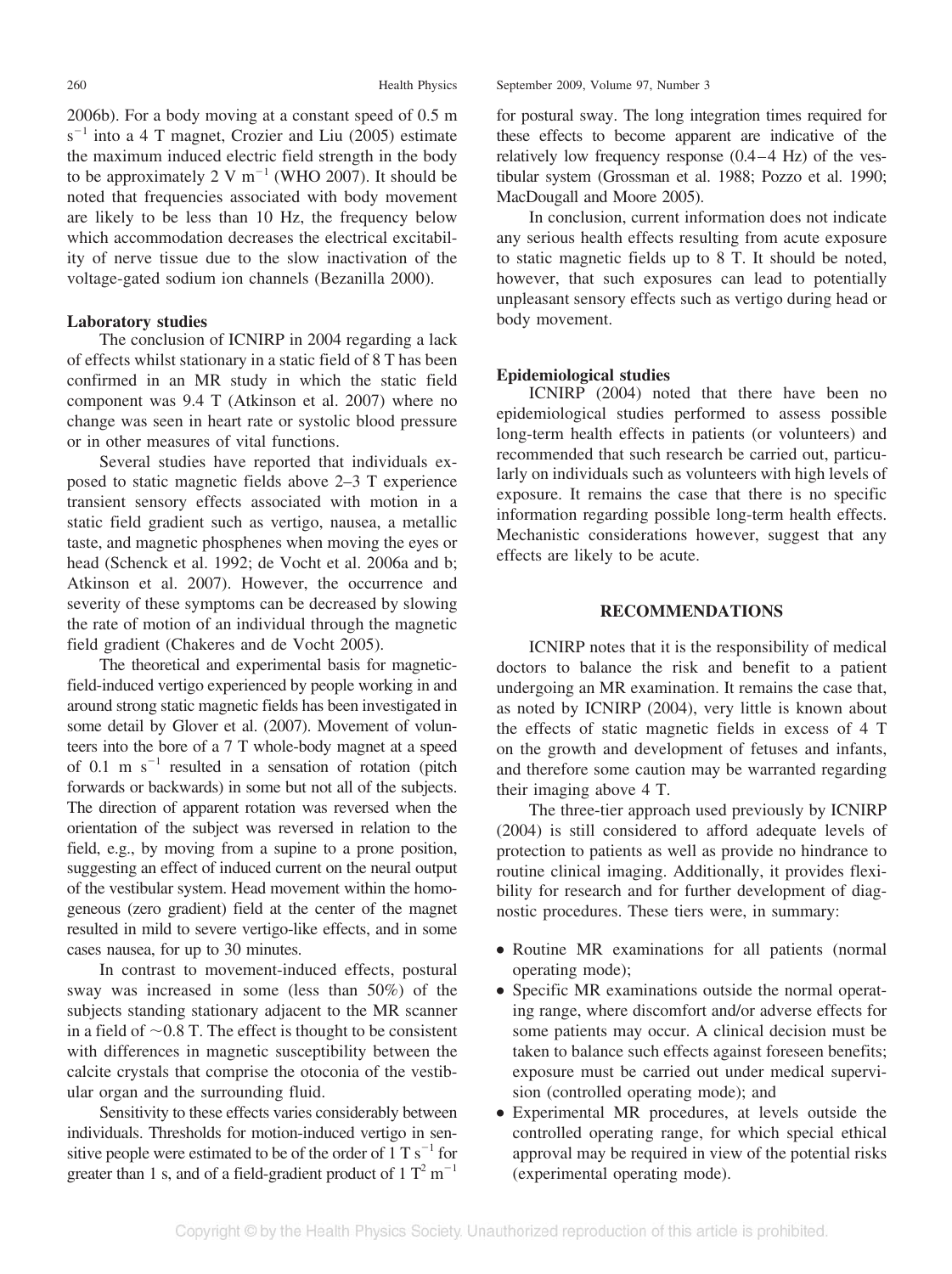2006b). For a body moving at a constant speed of 0.5 m  $s^{-1}$  into a 4 T magnet, Crozier and Liu (2005) estimate the maximum induced electric field strength in the body to be approximately 2 V  $m^{-1}$  (WHO 2007). It should be noted that frequencies associated with body movement are likely to be less than 10 Hz, the frequency below which accommodation decreases the electrical excitability of nerve tissue due to the slow inactivation of the voltage-gated sodium ion channels (Bezanilla 2000).

#### **Laboratory studies**

The conclusion of ICNIRP in 2004 regarding a lack of effects whilst stationary in a static field of 8 T has been confirmed in an MR study in which the static field component was 9.4 T (Atkinson et al. 2007) where no change was seen in heart rate or systolic blood pressure or in other measures of vital functions.

Several studies have reported that individuals exposed to static magnetic fields above 2–3 T experience transient sensory effects associated with motion in a static field gradient such as vertigo, nausea, a metallic taste, and magnetic phosphenes when moving the eyes or head (Schenck et al. 1992; de Vocht et al. 2006a and b; Atkinson et al. 2007). However, the occurrence and severity of these symptoms can be decreased by slowing the rate of motion of an individual through the magnetic field gradient (Chakeres and de Vocht 2005).

The theoretical and experimental basis for magneticfield-induced vertigo experienced by people working in and around strong static magnetic fields has been investigated in some detail by Glover et al. (2007). Movement of volunteers into the bore of a 7 T whole-body magnet at a speed of 0.1 m  $s^{-1}$  resulted in a sensation of rotation (pitch forwards or backwards) in some but not all of the subjects. The direction of apparent rotation was reversed when the orientation of the subject was reversed in relation to the field, e.g., by moving from a supine to a prone position, suggesting an effect of induced current on the neural output of the vestibular system. Head movement within the homogeneous (zero gradient) field at the center of the magnet resulted in mild to severe vertigo-like effects, and in some cases nausea, for up to 30 minutes.

In contrast to movement-induced effects, postural sway was increased in some (less than 50%) of the subjects standing stationary adjacent to the MR scanner in a field of  $\sim 0.8$  T. The effect is thought to be consistent with differences in magnetic susceptibility between the calcite crystals that comprise the otoconia of the vestibular organ and the surrounding fluid.

Sensitivity to these effects varies considerably between individuals. Thresholds for motion-induced vertigo in sensitive people were estimated to be of the order of  $1 T s^{-1}$  for greater than 1 s, and of a field-gradient product of  $1 T<sup>2</sup> m<sup>-1</sup>$ 

for postural sway. The long integration times required for these effects to become apparent are indicative of the relatively low frequency response  $(0.4 - 4 \text{ Hz})$  of the vestibular system (Grossman et al. 1988; Pozzo et al. 1990; MacDougall and Moore 2005).

In conclusion, current information does not indicate any serious health effects resulting from acute exposure to static magnetic fields up to 8 T. It should be noted, however, that such exposures can lead to potentially unpleasant sensory effects such as vertigo during head or body movement.

#### **Epidemiological studies**

ICNIRP (2004) noted that there have been no epidemiological studies performed to assess possible long-term health effects in patients (or volunteers) and recommended that such research be carried out, particularly on individuals such as volunteers with high levels of exposure. It remains the case that there is no specific information regarding possible long-term health effects. Mechanistic considerations however, suggest that any effects are likely to be acute.

#### **RECOMMENDATIONS**

ICNIRP notes that it is the responsibility of medical doctors to balance the risk and benefit to a patient undergoing an MR examination. It remains the case that, as noted by ICNIRP (2004), very little is known about the effects of static magnetic fields in excess of 4 T on the growth and development of fetuses and infants, and therefore some caution may be warranted regarding their imaging above 4 T.

The three-tier approach used previously by ICNIRP (2004) is still considered to afford adequate levels of protection to patients as well as provide no hindrance to routine clinical imaging. Additionally, it provides flexibility for research and for further development of diagnostic procedures. These tiers were, in summary:

- Routine MR examinations for all patients (normal operating mode);
- Specific MR examinations outside the normal operating range, where discomfort and/or adverse effects for some patients may occur. A clinical decision must be taken to balance such effects against foreseen benefits; exposure must be carried out under medical supervision (controlled operating mode); and
- Experimental MR procedures, at levels outside the controlled operating range, for which special ethical approval may be required in view of the potential risks (experimental operating mode).